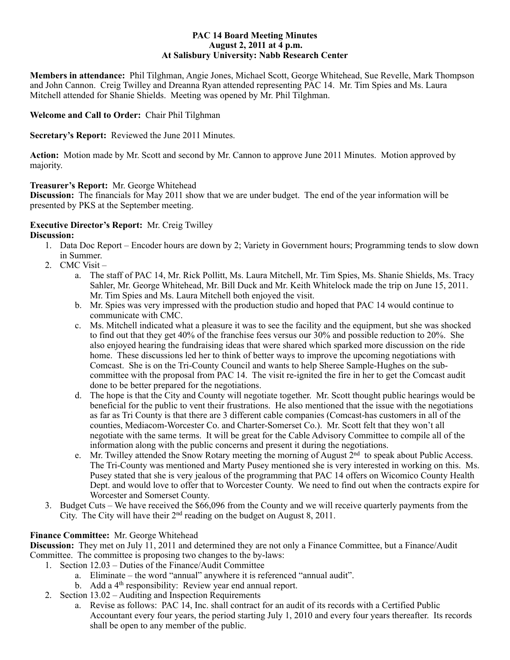#### **PAC 14 Board Meeting Minutes August 2, 2011 at 4 p.m. At Salisbury University: Nabb Research Center**

**Members in attendance:** Phil Tilghman, Angie Jones, Michael Scott, George Whitehead, Sue Revelle, Mark Thompson and John Cannon. Creig Twilley and Dreanna Ryan attended representing PAC 14. Mr. Tim Spies and Ms. Laura Mitchell attended for Shanie Shields. Meeting was opened by Mr. Phil Tilghman.

## **Welcome and Call to Order:** Chair Phil Tilghman

**Secretary's Report:** Reviewed the June 2011 Minutes.

**Action:** Motion made by Mr. Scott and second by Mr. Cannon to approve June 2011 Minutes. Motion approved by majority.

## **Treasurer's Report:** Mr. George Whitehead

**Discussion:** The financials for May 2011 show that we are under budget. The end of the year information will be presented by PKS at the September meeting.

#### **Executive Director's Report:** Mr. Creig Twilley **Discussion:**

- 1. Data Doc Report Encoder hours are down by 2; Variety in Government hours; Programming tends to slow down in Summer.
- 2. CMC Visit
	- a. The staff of PAC 14, Mr. Rick Pollitt, Ms. Laura Mitchell, Mr. Tim Spies, Ms. Shanie Shields, Ms. Tracy Sahler, Mr. George Whitehead, Mr. Bill Duck and Mr. Keith Whitelock made the trip on June 15, 2011. Mr. Tim Spies and Ms. Laura Mitchell both enjoyed the visit.
	- b. Mr. Spies was very impressed with the production studio and hoped that PAC 14 would continue to communicate with CMC.
	- c. Ms. Mitchell indicated what a pleasure it was to see the facility and the equipment, but she was shocked to find out that they get 40% of the franchise fees versus our 30% and possible reduction to 20%. She also enjoyed hearing the fundraising ideas that were shared which sparked more discussion on the ride home. These discussions led her to think of better ways to improve the upcoming negotiations with Comcast. She is on the Tri-County Council and wants to help Sheree Sample-Hughes on the subcommittee with the proposal from PAC 14. The visit re-ignited the fire in her to get the Comcast audit done to be better prepared for the negotiations.
	- d. The hope is that the City and County will negotiate together. Mr. Scott thought public hearings would be beneficial for the public to vent their frustrations. He also mentioned that the issue with the negotiations as far as Tri County is that there are 3 different cable companies (Comcast-has customers in all of the counties, Mediacom-Worcester Co. and Charter-Somerset Co.). Mr. Scott felt that they won't all negotiate with the same terms. It will be great for the Cable Advisory Committee to compile all of the information along with the public concerns and present it during the negotiations.
	- e. Mr. Twilley attended the Snow Rotary meeting the morning of August  $2<sup>nd</sup>$  to speak about Public Access. The Tri-County was mentioned and Marty Pusey mentioned she is very interested in working on this. Ms. Pusey stated that she is very jealous of the programming that PAC 14 offers on Wicomico County Health Dept. and would love to offer that to Worcester County. We need to find out when the contracts expire for Worcester and Somerset County.
- 3. Budget Cuts We have received the \$66,096 from the County and we will receive quarterly payments from the City. The City will have their 2nd reading on the budget on August 8, 2011.

## **Finance Committee:** Mr. George Whitehead

**Discussion:** They met on July 11, 2011 and determined they are not only a Finance Committee, but a Finance/Audit Committee. The committee is proposing two changes to the by-laws:

- 1. Section 12.03 Duties of the Finance/Audit Committee
	- a. Eliminate the word "annual" anywhere it is referenced "annual audit".
	- b. Add a 4<sup>th</sup> responsibility: Review year end annual report.
- 2. Section 13.02 Auditing and Inspection Requirements
	- a. Revise as follows: PAC 14, Inc. shall contract for an audit of its records with a Certified Public Accountant every four years, the period starting July 1, 2010 and every four years thereafter. Its records shall be open to any member of the public.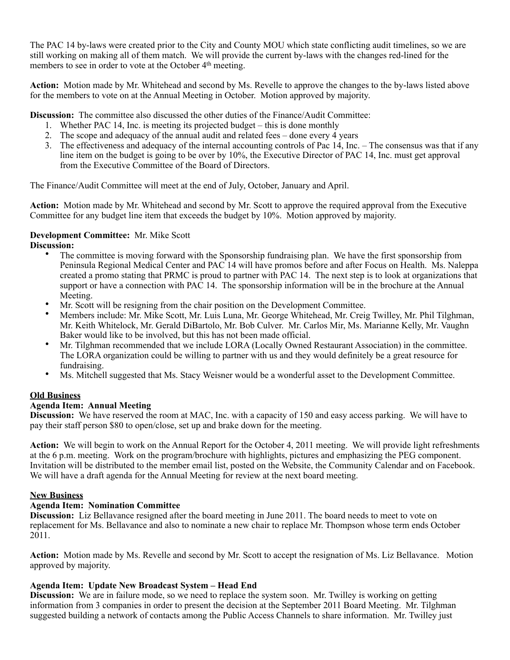The PAC 14 by-laws were created prior to the City and County MOU which state conflicting audit timelines, so we are still working on making all of them match. We will provide the current by-laws with the changes red-lined for the members to see in order to vote at the October 4<sup>th</sup> meeting.

**Action:** Motion made by Mr. Whitehead and second by Ms. Revelle to approve the changes to the by-laws listed above for the members to vote on at the Annual Meeting in October. Motion approved by majority.

**Discussion:** The committee also discussed the other duties of the Finance/Audit Committee:

- 1. Whether PAC 14, Inc. is meeting its projected budget this is done monthly
- 2. The scope and adequacy of the annual audit and related fees done every 4 years
- 3. The effectiveness and adequacy of the internal accounting controls of Pac 14, Inc. The consensus was that if any line item on the budget is going to be over by 10%, the Executive Director of PAC 14, Inc. must get approval from the Executive Committee of the Board of Directors.

The Finance/Audit Committee will meet at the end of July, October, January and April.

**Action:** Motion made by Mr. Whitehead and second by Mr. Scott to approve the required approval from the Executive Committee for any budget line item that exceeds the budget by 10%. Motion approved by majority.

## **Development Committee:** Mr. Mike Scott

# Discussion:

- The committee is moving forward with the Sponsorship fundraising plan. We have the first sponsorship from Peninsula Regional Medical Center and PAC 14 will have promos before and after Focus on Health. Ms. Naleppa created a promo stating that PRMC is proud to partner with PAC 14. The next step is to look at organizations that support or have a connection with  $PAC$  14. The sponsorship information will be in the brochure at the Annual Meeting.
- Mr. Scott will be resigning from the chair position on the Development Committee.
- Members include: Mr. Mike Scott, Mr. Luis Luna, Mr. George Whitehead, Mr. Creig Twilley, Mr. Phil Tilghman, Mr. Keith Whitelock, Mr. Gerald DiBartolo, Mr. Bob Culver. Mr. Carlos Mir, Ms. Marianne Kelly, Mr. Vaughn Baker would like to be involved, but this has not been made official.
- Mr. Tilghman recommended that we include LORA (Locally Owned Restaurant Association) in the committee. The LORA organization could be willing to partner with us and they would definitely be a great resource for fundraising.
- Ms. Mitchell suggested that Ms. Stacy Weisner would be a wonderful asset to the Development Committee.

## **Old Business**

## **Agenda Item: Annual Meeting**

**Discussion:** We have reserved the room at MAC, Inc. with a capacity of 150 and easy access parking. We will have to pay their staff person \$80 to open/close, set up and brake down for the meeting.

**Action:** We will begin to work on the Annual Report for the October 4, 2011 meeting. We will provide light refreshments at the 6 p.m. meeting. Work on the program/brochure with highlights, pictures and emphasizing the PEG component. Invitation will be distributed to the member email list, posted on the Website, the Community Calendar and on Facebook. We will have a draft agenda for the Annual Meeting for review at the next board meeting.

## **New Business**

## **Agenda Item: Nomination Committee**

**Discussion:** Liz Bellavance resigned after the board meeting in June 2011. The board needs to meet to vote on replacement for Ms. Bellavance and also to nominate a new chair to replace Mr. Thompson whose term ends October 2011.

**Action:** Motion made by Ms. Revelle and second by Mr. Scott to accept the resignation of Ms. Liz Bellavance. Motion approved by majority.

## **Agenda Item: Update New Broadcast System – Head End**

**Discussion:** We are in failure mode, so we need to replace the system soon. Mr. Twilley is working on getting information from 3 companies in order to present the decision at the September 2011 Board Meeting. Mr. Tilghman suggested building a network of contacts among the Public Access Channels to share information. Mr. Twilley just